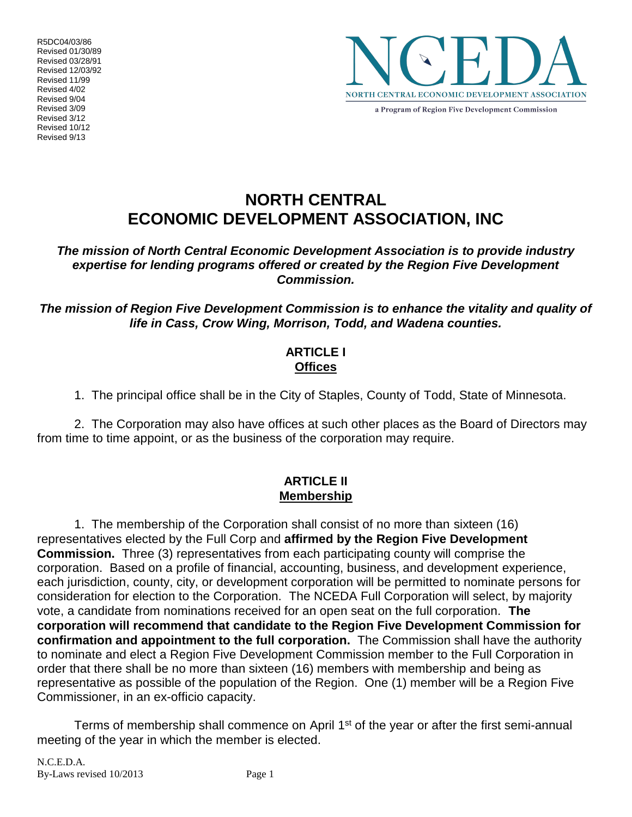R5DC04/03/86 Revised 01/30/89 Revised 03/28/91 Revised 12/03/92 Revised 11/99 Revised 4/02 Revised 9/04 Revised 3/09 Revised 3/12 Revised 10/12 Revised 9/13



a Program of Region Five Development Commission

# **NORTH CENTRAL ECONOMIC DEVELOPMENT ASSOCIATION, INC**

*The mission of North Central Economic Development Association is to provide industry expertise for lending programs offered or created by the Region Five Development Commission.* 

*The mission of Region Five Development Commission is to enhance the vitality and quality of life in Cass, Crow Wing, Morrison, Todd, and Wadena counties.* 

## **ARTICLE I Offices**

1. The principal office shall be in the City of Staples, County of Todd, State of Minnesota.

2. The Corporation may also have offices at such other places as the Board of Directors may from time to time appoint, or as the business of the corporation may require.

#### **ARTICLE II Membership**

1. The membership of the Corporation shall consist of no more than sixteen (16) representatives elected by the Full Corp and **affirmed by the Region Five Development Commission.** Three (3) representatives from each participating county will comprise the corporation. Based on a profile of financial, accounting, business, and development experience, each jurisdiction, county, city, or development corporation will be permitted to nominate persons for consideration for election to the Corporation. The NCEDA Full Corporation will select, by majority vote, a candidate from nominations received for an open seat on the full corporation. **The corporation will recommend that candidate to the Region Five Development Commission for confirmation and appointment to the full corporation.** The Commission shall have the authority to nominate and elect a Region Five Development Commission member to the Full Corporation in order that there shall be no more than sixteen (16) members with membership and being as representative as possible of the population of the Region. One (1) member will be a Region Five Commissioner, in an ex-officio capacity.

Terms of membership shall commence on April 1<sup>st</sup> of the year or after the first semi-annual meeting of the year in which the member is elected.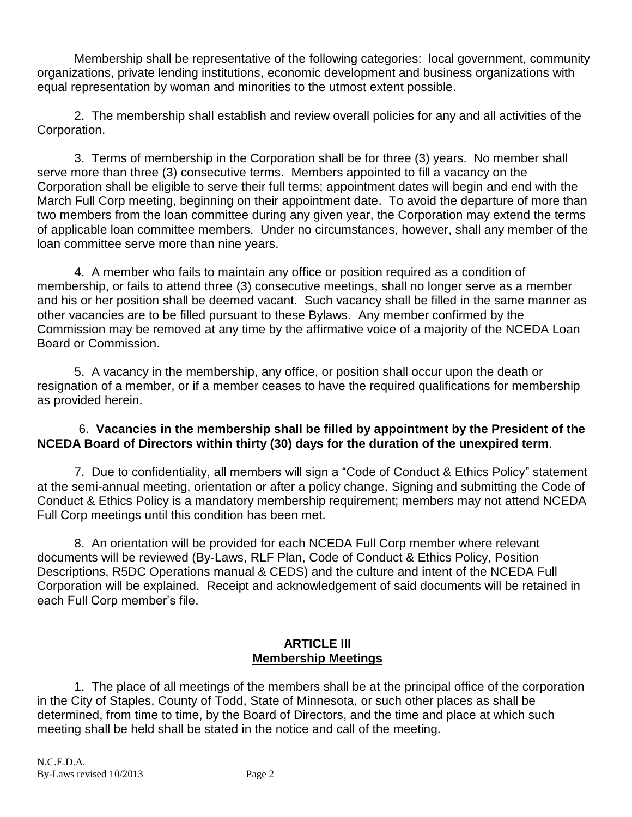Membership shall be representative of the following categories: local government, community organizations, private lending institutions, economic development and business organizations with equal representation by woman and minorities to the utmost extent possible.

2. The membership shall establish and review overall policies for any and all activities of the Corporation.

3. Terms of membership in the Corporation shall be for three (3) years. No member shall serve more than three (3) consecutive terms. Members appointed to fill a vacancy on the Corporation shall be eligible to serve their full terms; appointment dates will begin and end with the March Full Corp meeting, beginning on their appointment date. To avoid the departure of more than two members from the loan committee during any given year, the Corporation may extend the terms of applicable loan committee members. Under no circumstances, however, shall any member of the loan committee serve more than nine years.

4. A member who fails to maintain any office or position required as a condition of membership, or fails to attend three (3) consecutive meetings, shall no longer serve as a member and his or her position shall be deemed vacant. Such vacancy shall be filled in the same manner as other vacancies are to be filled pursuant to these Bylaws. Any member confirmed by the Commission may be removed at any time by the affirmative voice of a majority of the NCEDA Loan Board or Commission.

5. A vacancy in the membership, any office, or position shall occur upon the death or resignation of a member, or if a member ceases to have the required qualifications for membership as provided herein.

## 6. **Vacancies in the membership shall be filled by appointment by the President of the NCEDA Board of Directors within thirty (30) days for the duration of the unexpired term**.

7. Due to confidentiality, all members will sign a "Code of Conduct & Ethics Policy" statement at the semi-annual meeting, orientation or after a policy change. Signing and submitting the Code of Conduct & Ethics Policy is a mandatory membership requirement; members may not attend NCEDA Full Corp meetings until this condition has been met.

8. An orientation will be provided for each NCEDA Full Corp member where relevant documents will be reviewed (By-Laws, RLF Plan, Code of Conduct & Ethics Policy, Position Descriptions, R5DC Operations manual & CEDS) and the culture and intent of the NCEDA Full Corporation will be explained. Receipt and acknowledgement of said documents will be retained in each Full Corp member's file.

# **ARTICLE III Membership Meetings**

1. The place of all meetings of the members shall be at the principal office of the corporation in the City of Staples, County of Todd, State of Minnesota, or such other places as shall be determined, from time to time, by the Board of Directors, and the time and place at which such meeting shall be held shall be stated in the notice and call of the meeting.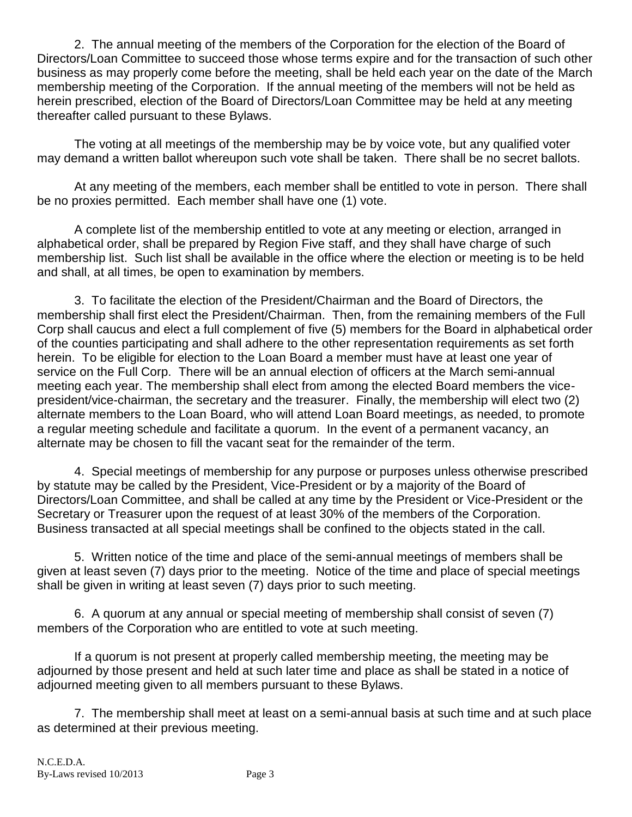2. The annual meeting of the members of the Corporation for the election of the Board of Directors/Loan Committee to succeed those whose terms expire and for the transaction of such other business as may properly come before the meeting, shall be held each year on the date of the March membership meeting of the Corporation. If the annual meeting of the members will not be held as herein prescribed, election of the Board of Directors/Loan Committee may be held at any meeting thereafter called pursuant to these Bylaws.

The voting at all meetings of the membership may be by voice vote, but any qualified voter may demand a written ballot whereupon such vote shall be taken. There shall be no secret ballots.

At any meeting of the members, each member shall be entitled to vote in person. There shall be no proxies permitted. Each member shall have one (1) vote.

A complete list of the membership entitled to vote at any meeting or election, arranged in alphabetical order, shall be prepared by Region Five staff, and they shall have charge of such membership list. Such list shall be available in the office where the election or meeting is to be held and shall, at all times, be open to examination by members.

3. To facilitate the election of the President/Chairman and the Board of Directors, the membership shall first elect the President/Chairman. Then, from the remaining members of the Full Corp shall caucus and elect a full complement of five (5) members for the Board in alphabetical order of the counties participating and shall adhere to the other representation requirements as set forth herein. To be eligible for election to the Loan Board a member must have at least one year of service on the Full Corp. There will be an annual election of officers at the March semi-annual meeting each year. The membership shall elect from among the elected Board members the vicepresident/vice-chairman, the secretary and the treasurer. Finally, the membership will elect two (2) alternate members to the Loan Board, who will attend Loan Board meetings, as needed, to promote a regular meeting schedule and facilitate a quorum. In the event of a permanent vacancy, an alternate may be chosen to fill the vacant seat for the remainder of the term.

4. Special meetings of membership for any purpose or purposes unless otherwise prescribed by statute may be called by the President, Vice-President or by a majority of the Board of Directors/Loan Committee, and shall be called at any time by the President or Vice-President or the Secretary or Treasurer upon the request of at least 30% of the members of the Corporation. Business transacted at all special meetings shall be confined to the objects stated in the call.

5. Written notice of the time and place of the semi-annual meetings of members shall be given at least seven (7) days prior to the meeting. Notice of the time and place of special meetings shall be given in writing at least seven (7) days prior to such meeting.

6. A quorum at any annual or special meeting of membership shall consist of seven (7) members of the Corporation who are entitled to vote at such meeting.

If a quorum is not present at properly called membership meeting, the meeting may be adjourned by those present and held at such later time and place as shall be stated in a notice of adjourned meeting given to all members pursuant to these Bylaws.

7. The membership shall meet at least on a semi-annual basis at such time and at such place as determined at their previous meeting.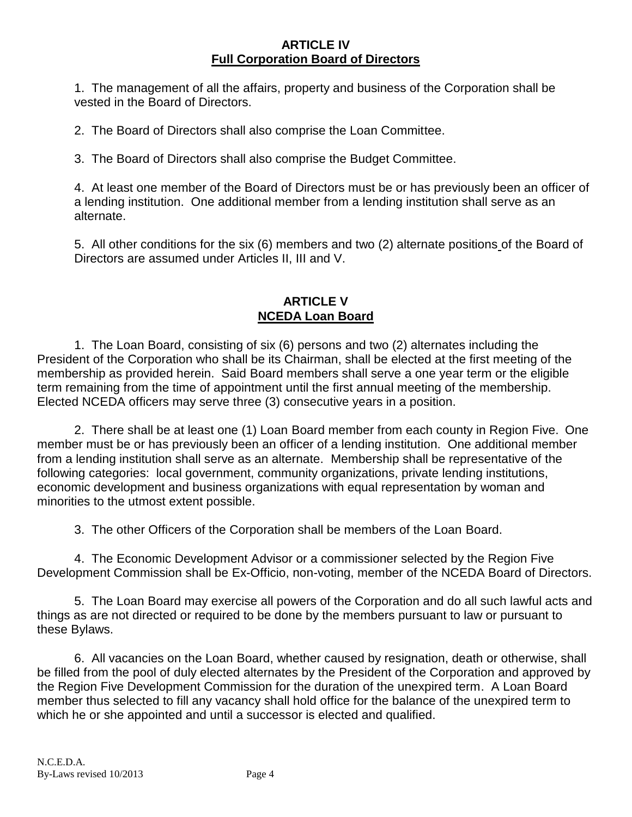## **ARTICLE IV Full Corporation Board of Directors**

1. The management of all the affairs, property and business of the Corporation shall be vested in the Board of Directors.

2. The Board of Directors shall also comprise the Loan Committee.

3. The Board of Directors shall also comprise the Budget Committee.

4. At least one member of the Board of Directors must be or has previously been an officer of a lending institution. One additional member from a lending institution shall serve as an alternate.

5. All other conditions for the six (6) members and two (2) alternate positions of the Board of Directors are assumed under Articles II, III and V.

## **ARTICLE V NCEDA Loan Board**

1. The Loan Board, consisting of six (6) persons and two (2) alternates including the President of the Corporation who shall be its Chairman, shall be elected at the first meeting of the membership as provided herein. Said Board members shall serve a one year term or the eligible term remaining from the time of appointment until the first annual meeting of the membership. Elected NCEDA officers may serve three (3) consecutive years in a position.

2. There shall be at least one (1) Loan Board member from each county in Region Five. One member must be or has previously been an officer of a lending institution. One additional member from a lending institution shall serve as an alternate. Membership shall be representative of the following categories: local government, community organizations, private lending institutions, economic development and business organizations with equal representation by woman and minorities to the utmost extent possible.

3. The other Officers of the Corporation shall be members of the Loan Board.

4. The Economic Development Advisor or a commissioner selected by the Region Five Development Commission shall be Ex-Officio, non-voting, member of the NCEDA Board of Directors.

5. The Loan Board may exercise all powers of the Corporation and do all such lawful acts and things as are not directed or required to be done by the members pursuant to law or pursuant to these Bylaws.

6. All vacancies on the Loan Board, whether caused by resignation, death or otherwise, shall be filled from the pool of duly elected alternates by the President of the Corporation and approved by the Region Five Development Commission for the duration of the unexpired term. A Loan Board member thus selected to fill any vacancy shall hold office for the balance of the unexpired term to which he or she appointed and until a successor is elected and qualified.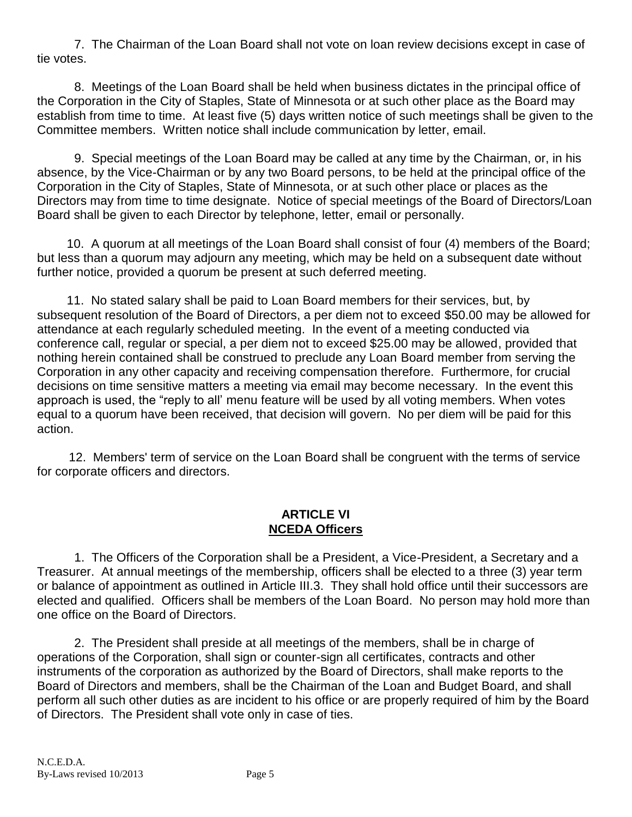7. The Chairman of the Loan Board shall not vote on loan review decisions except in case of tie votes.

8. Meetings of the Loan Board shall be held when business dictates in the principal office of the Corporation in the City of Staples, State of Minnesota or at such other place as the Board may establish from time to time. At least five (5) days written notice of such meetings shall be given to the Committee members. Written notice shall include communication by letter, email.

9. Special meetings of the Loan Board may be called at any time by the Chairman, or, in his absence, by the Vice-Chairman or by any two Board persons, to be held at the principal office of the Corporation in the City of Staples, State of Minnesota, or at such other place or places as the Directors may from time to time designate. Notice of special meetings of the Board of Directors/Loan Board shall be given to each Director by telephone, letter, email or personally.

10. A quorum at all meetings of the Loan Board shall consist of four (4) members of the Board; but less than a quorum may adjourn any meeting, which may be held on a subsequent date without further notice, provided a quorum be present at such deferred meeting.

11. No stated salary shall be paid to Loan Board members for their services, but, by subsequent resolution of the Board of Directors, a per diem not to exceed \$50.00 may be allowed for attendance at each regularly scheduled meeting. In the event of a meeting conducted via conference call, regular or special, a per diem not to exceed \$25.00 may be allowed, provided that nothing herein contained shall be construed to preclude any Loan Board member from serving the Corporation in any other capacity and receiving compensation therefore. Furthermore, for crucial decisions on time sensitive matters a meeting via email may become necessary. In the event this approach is used, the "reply to all' menu feature will be used by all voting members. When votes equal to a quorum have been received, that decision will govern. No per diem will be paid for this action.

12. Members' term of service on the Loan Board shall be congruent with the terms of service for corporate officers and directors.

## **ARTICLE VI NCEDA Officers**

1. The Officers of the Corporation shall be a President, a Vice-President, a Secretary and a Treasurer. At annual meetings of the membership, officers shall be elected to a three (3) year term or balance of appointment as outlined in Article III.3. They shall hold office until their successors are elected and qualified. Officers shall be members of the Loan Board. No person may hold more than one office on the Board of Directors.

2. The President shall preside at all meetings of the members, shall be in charge of operations of the Corporation, shall sign or counter-sign all certificates, contracts and other instruments of the corporation as authorized by the Board of Directors, shall make reports to the Board of Directors and members, shall be the Chairman of the Loan and Budget Board, and shall perform all such other duties as are incident to his office or are properly required of him by the Board of Directors. The President shall vote only in case of ties.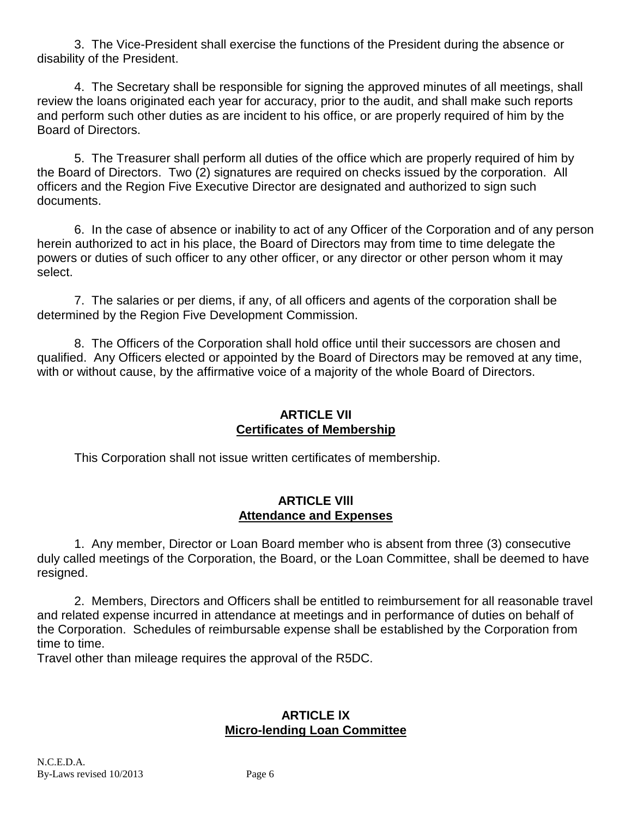3. The Vice-President shall exercise the functions of the President during the absence or disability of the President.

4. The Secretary shall be responsible for signing the approved minutes of all meetings, shall review the loans originated each year for accuracy, prior to the audit, and shall make such reports and perform such other duties as are incident to his office, or are properly required of him by the Board of Directors.

5. The Treasurer shall perform all duties of the office which are properly required of him by the Board of Directors. Two (2) signatures are required on checks issued by the corporation. All officers and the Region Five Executive Director are designated and authorized to sign such documents.

6. In the case of absence or inability to act of any Officer of the Corporation and of any person herein authorized to act in his place, the Board of Directors may from time to time delegate the powers or duties of such officer to any other officer, or any director or other person whom it may select.

7. The salaries or per diems, if any, of all officers and agents of the corporation shall be determined by the Region Five Development Commission.

8. The Officers of the Corporation shall hold office until their successors are chosen and qualified. Any Officers elected or appointed by the Board of Directors may be removed at any time, with or without cause, by the affirmative voice of a majority of the whole Board of Directors.

### **ARTICLE VII Certificates of Membership**

This Corporation shall not issue written certificates of membership.

# **ARTICLE Vlll Attendance and Expenses**

1. Any member, Director or Loan Board member who is absent from three (3) consecutive duly called meetings of the Corporation, the Board, or the Loan Committee, shall be deemed to have resigned.

2. Members, Directors and Officers shall be entitled to reimbursement for all reasonable travel and related expense incurred in attendance at meetings and in performance of duties on behalf of the Corporation. Schedules of reimbursable expense shall be established by the Corporation from time to time.

Travel other than mileage requires the approval of the R5DC.

## **ARTICLE lX Micro-lending Loan Committee**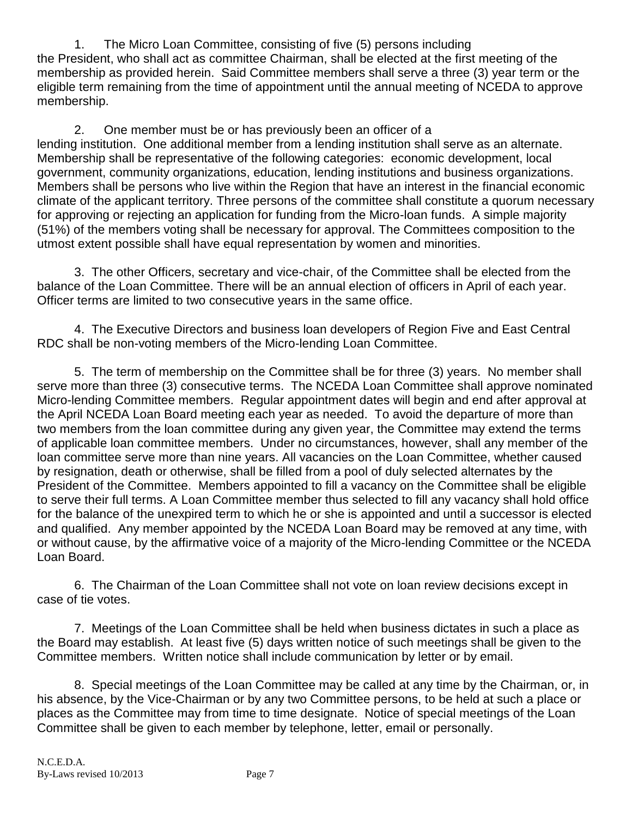1. The Micro Loan Committee, consisting of five (5) persons including the President, who shall act as committee Chairman, shall be elected at the first meeting of the membership as provided herein. Said Committee members shall serve a three (3) year term or the eligible term remaining from the time of appointment until the annual meeting of NCEDA to approve membership.

2. One member must be or has previously been an officer of a lending institution. One additional member from a lending institution shall serve as an alternate. Membership shall be representative of the following categories: economic development, local government, community organizations, education, lending institutions and business organizations. Members shall be persons who live within the Region that have an interest in the financial economic climate of the applicant territory. Three persons of the committee shall constitute a quorum necessary for approving or rejecting an application for funding from the Micro-loan funds. A simple majority (51%) of the members voting shall be necessary for approval. The Committees composition to the utmost extent possible shall have equal representation by women and minorities.

3. The other Officers, secretary and vice-chair, of the Committee shall be elected from the balance of the Loan Committee. There will be an annual election of officers in April of each year. Officer terms are limited to two consecutive years in the same office.

4. The Executive Directors and business loan developers of Region Five and East Central RDC shall be non-voting members of the Micro-lending Loan Committee.

5. The term of membership on the Committee shall be for three (3) years. No member shall serve more than three (3) consecutive terms. The NCEDA Loan Committee shall approve nominated Micro-lending Committee members. Regular appointment dates will begin and end after approval at the April NCEDA Loan Board meeting each year as needed. To avoid the departure of more than two members from the loan committee during any given year, the Committee may extend the terms of applicable loan committee members. Under no circumstances, however, shall any member of the loan committee serve more than nine years. All vacancies on the Loan Committee, whether caused by resignation, death or otherwise, shall be filled from a pool of duly selected alternates by the President of the Committee. Members appointed to fill a vacancy on the Committee shall be eligible to serve their full terms. A Loan Committee member thus selected to fill any vacancy shall hold office for the balance of the unexpired term to which he or she is appointed and until a successor is elected and qualified. Any member appointed by the NCEDA Loan Board may be removed at any time, with or without cause, by the affirmative voice of a majority of the Micro-lending Committee or the NCEDA Loan Board.

6. The Chairman of the Loan Committee shall not vote on loan review decisions except in case of tie votes.

7. Meetings of the Loan Committee shall be held when business dictates in such a place as the Board may establish. At least five (5) days written notice of such meetings shall be given to the Committee members. Written notice shall include communication by letter or by email.

8. Special meetings of the Loan Committee may be called at any time by the Chairman, or, in his absence, by the Vice-Chairman or by any two Committee persons, to be held at such a place or places as the Committee may from time to time designate. Notice of special meetings of the Loan Committee shall be given to each member by telephone, letter, email or personally.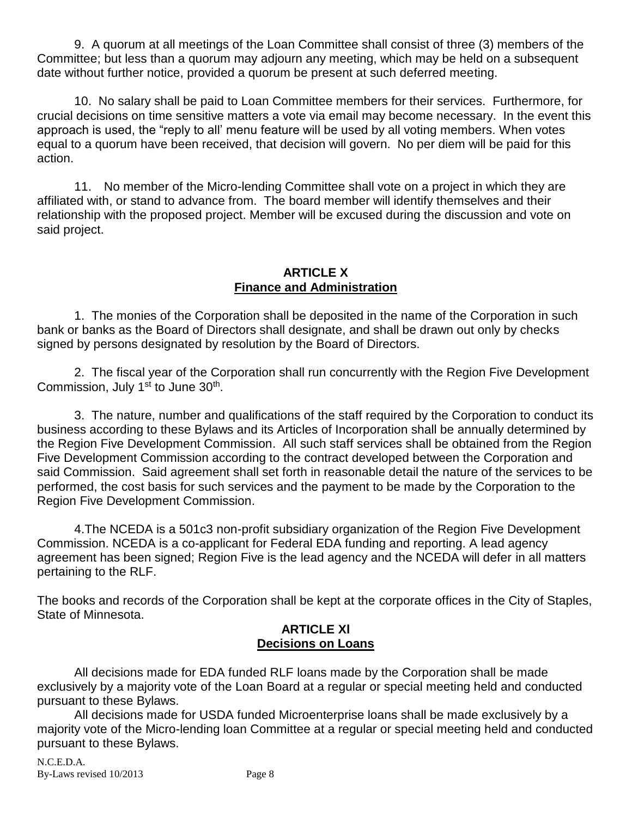9. A quorum at all meetings of the Loan Committee shall consist of three (3) members of the Committee; but less than a quorum may adjourn any meeting, which may be held on a subsequent date without further notice, provided a quorum be present at such deferred meeting.

10. No salary shall be paid to Loan Committee members for their services. Furthermore, for crucial decisions on time sensitive matters a vote via email may become necessary. In the event this approach is used, the "reply to all' menu feature will be used by all voting members. When votes equal to a quorum have been received, that decision will govern. No per diem will be paid for this action.

11. No member of the Micro-lending Committee shall vote on a project in which they are affiliated with, or stand to advance from. The board member will identify themselves and their relationship with the proposed project. Member will be excused during the discussion and vote on said project.

#### **ARTICLE X Finance and Administration**

1. The monies of the Corporation shall be deposited in the name of the Corporation in such bank or banks as the Board of Directors shall designate, and shall be drawn out only by checks signed by persons designated by resolution by the Board of Directors.

2. The fiscal year of the Corporation shall run concurrently with the Region Five Development Commission, July 1<sup>st</sup> to June 30<sup>th</sup>.

3. The nature, number and qualifications of the staff required by the Corporation to conduct its business according to these Bylaws and its Articles of Incorporation shall be annually determined by the Region Five Development Commission. All such staff services shall be obtained from the Region Five Development Commission according to the contract developed between the Corporation and said Commission. Said agreement shall set forth in reasonable detail the nature of the services to be performed, the cost basis for such services and the payment to be made by the Corporation to the Region Five Development Commission.

4.The NCEDA is a 501c3 non-profit subsidiary organization of the Region Five Development Commission. NCEDA is a co-applicant for Federal EDA funding and reporting. A lead agency agreement has been signed; Region Five is the lead agency and the NCEDA will defer in all matters pertaining to the RLF.

The books and records of the Corporation shall be kept at the corporate offices in the City of Staples, State of Minnesota.

#### **ARTICLE Xl Decisions on Loans**

All decisions made for EDA funded RLF loans made by the Corporation shall be made exclusively by a majority vote of the Loan Board at a regular or special meeting held and conducted pursuant to these Bylaws.

All decisions made for USDA funded Microenterprise loans shall be made exclusively by a majority vote of the Micro-lending loan Committee at a regular or special meeting held and conducted pursuant to these Bylaws.

N.C.E.D.A. By-Laws revised  $10/2013$  Page 8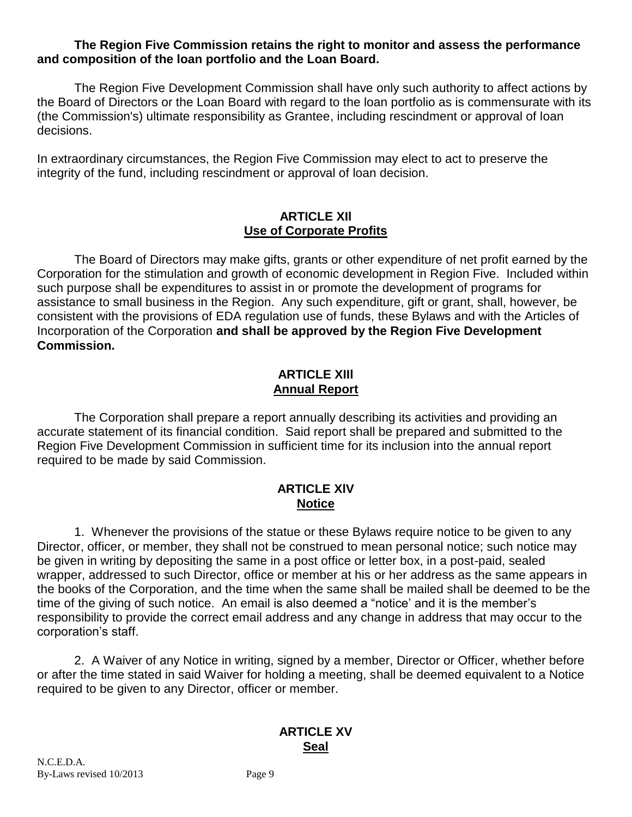#### **The Region Five Commission retains the right to monitor and assess the performance and composition of the loan portfolio and the Loan Board.**

The Region Five Development Commission shall have only such authority to affect actions by the Board of Directors or the Loan Board with regard to the loan portfolio as is commensurate with its (the Commission's) ultimate responsibility as Grantee, including rescindment or approval of loan decisions.

In extraordinary circumstances, the Region Five Commission may elect to act to preserve the integrity of the fund, including rescindment or approval of loan decision.

#### **ARTICLE XIl Use of Corporate Profits**

The Board of Directors may make gifts, grants or other expenditure of net profit earned by the Corporation for the stimulation and growth of economic development in Region Five. Included within such purpose shall be expenditures to assist in or promote the development of programs for assistance to small business in the Region. Any such expenditure, gift or grant, shall, however, be consistent with the provisions of EDA regulation use of funds, these Bylaws and with the Articles of Incorporation of the Corporation **and shall be approved by the Region Five Development Commission.**

#### **ARTICLE XIIl Annual Report**

The Corporation shall prepare a report annually describing its activities and providing an accurate statement of its financial condition. Said report shall be prepared and submitted to the Region Five Development Commission in sufficient time for its inclusion into the annual report required to be made by said Commission.

#### **ARTICLE XlV Notice**

1. Whenever the provisions of the statue or these Bylaws require notice to be given to any Director, officer, or member, they shall not be construed to mean personal notice; such notice may be given in writing by depositing the same in a post office or letter box, in a post-paid, sealed wrapper, addressed to such Director, office or member at his or her address as the same appears in the books of the Corporation, and the time when the same shall be mailed shall be deemed to be the time of the giving of such notice. An email is also deemed a "notice' and it is the member's responsibility to provide the correct email address and any change in address that may occur to the corporation's staff.

2. A Waiver of any Notice in writing, signed by a member, Director or Officer, whether before or after the time stated in said Waiver for holding a meeting, shall be deemed equivalent to a Notice required to be given to any Director, officer or member.

#### **ARTICLE XV Seal**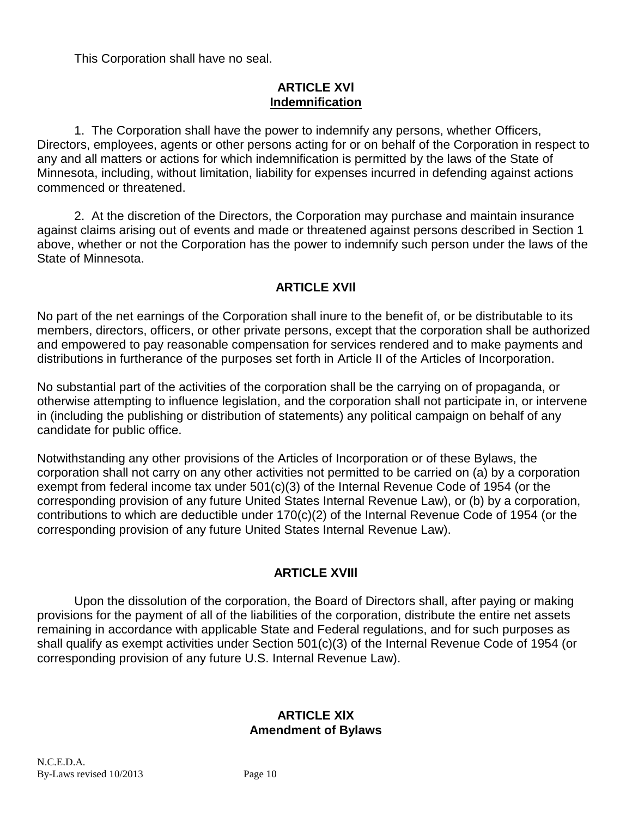This Corporation shall have no seal.

#### **ARTICLE XVl Indemnification**

1. The Corporation shall have the power to indemnify any persons, whether Officers, Directors, employees, agents or other persons acting for or on behalf of the Corporation in respect to any and all matters or actions for which indemnification is permitted by the laws of the State of Minnesota, including, without limitation, liability for expenses incurred in defending against actions commenced or threatened.

2. At the discretion of the Directors, the Corporation may purchase and maintain insurance against claims arising out of events and made or threatened against persons described in Section 1 above, whether or not the Corporation has the power to indemnify such person under the laws of the State of Minnesota.

## **ARTICLE XVIl**

No part of the net earnings of the Corporation shall inure to the benefit of, or be distributable to its members, directors, officers, or other private persons, except that the corporation shall be authorized and empowered to pay reasonable compensation for services rendered and to make payments and distributions in furtherance of the purposes set forth in Article II of the Articles of Incorporation.

No substantial part of the activities of the corporation shall be the carrying on of propaganda, or otherwise attempting to influence legislation, and the corporation shall not participate in, or intervene in (including the publishing or distribution of statements) any political campaign on behalf of any candidate for public office.

Notwithstanding any other provisions of the Articles of Incorporation or of these Bylaws, the corporation shall not carry on any other activities not permitted to be carried on (a) by a corporation exempt from federal income tax under 501(c)(3) of the Internal Revenue Code of 1954 (or the corresponding provision of any future United States Internal Revenue Law), or (b) by a corporation, contributions to which are deductible under 170(c)(2) of the Internal Revenue Code of 1954 (or the corresponding provision of any future United States Internal Revenue Law).

# **ARTICLE XVIIl**

Upon the dissolution of the corporation, the Board of Directors shall, after paying or making provisions for the payment of all of the liabilities of the corporation, distribute the entire net assets remaining in accordance with applicable State and Federal regulations, and for such purposes as shall qualify as exempt activities under Section 501(c)(3) of the Internal Revenue Code of 1954 (or corresponding provision of any future U.S. Internal Revenue Law).

## **ARTICLE XlX Amendment of Bylaws**